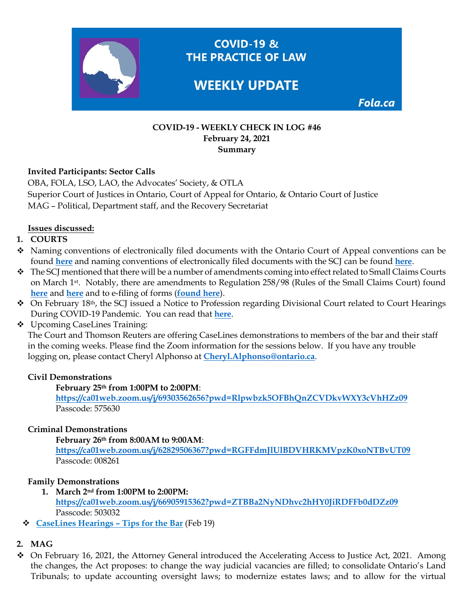

#### **COVID-19 - WEEKLY CHECK IN LOG #46 February 24, 2021 Summary**

### **Invited Participants: Sector Calls**

OBA, FOLA, LSO, LAO, the Advocates' Society, & OTLA Superior Court of Justices in Ontario, Court of Appeal for Ontario, & Ontario Court of Justice MAG – Political, Department staff, and the Recovery Secretariat

### **Issues discussed:**

### **1. COURTS**

- Naming conventions of electronically filed documents with the Ontario Court of Appeal conventions can be found **[here](https://www.ontariocourts.ca/coa/en/notices/pd/electronic-filing.htm#_Toc473192139)** and naming conventions of electronically filed documents with the SCJ can be found **[here](https://www.ontariocourts.ca/scj/notices-and-orders-covid-19/consolidated-notice/#8_Standard_document_naming_protocol)**.
- $\bullet$  The SCJ mentioned that there will be a number of amendments coming into effect related to Small Claims Courts on March 1st. Notably, there are amendments to Regulation 258/98 (Rules of the Small Claims Court) found **[here](https://www.ontariocanada.com/registry/view.do?postingId=24406&language=en)** and **[here](https://www.ontario.ca/laws/regulation/980258)** and to e-filing of forms (**[found here](http://ontariocourtforms.on.ca/en/rules-of-the-small-claims-court-forms/)**).
- ◆ On February 18<sup>th</sup>, the SCJ issued a Notice to Profession regarding Divisional Court related to Court Hearings During COVID-19 Pandemic. You can read that **[here](https://www.ontariocourts.ca/scj/notices-and-orders-covid-19/div-ct-feb2021/)**.
- Upcoming CaseLines Training:

The Court and Thomson Reuters are offering CaseLines demonstrations to members of the bar and their staff in the coming weeks. Please find the Zoom information for the sessions below. If you have any trouble logging on, please contact Cheryl Alphonso at **[Cheryl.Alphonso@ontario.ca](mailto:Cheryl.Alphonso@ontario.ca)**.

#### **Civil Demonstrations**

#### **February 25th from 1:00PM to 2:00PM**:

**<https://ca01web.zoom.us/j/69303562656?pwd=Rlpwbzk5OFBhQnZCVDkvWXY3cVhHZz09>** Passcode: 575630

#### **Criminal Demonstrations**

**February 26th from 8:00AM to 9:00AM**:

**<https://ca01web.zoom.us/j/62829506367?pwd=RGFFdmJlUlBDVHRKMVpzK0xoNTBvUT09>** Passcode: 008261

#### **Family Demonstrations**

**1. March 2nd from 1:00PM to 2:00PM:** 

**<https://ca01web.zoom.us/j/66905915362?pwd=ZTBBa2NyNDhvc2hHY0JiRDFFb0dDZz09>** Passcode: 503032

**[CaseLines Hearings –](https://img1.wsimg.com/blobby/go/63f6349d-d85d-4511-bc5f-4314d54b45d0/downloads/Preparation%20Tips%20for%20CaseLines%20Hearings%20for%20Pa.pdf?ver=1613832043110) Tips for the Bar** (Feb 19)

# **2. MAG**

 $\div$  On February 16, 2021, the Attorney General introduced the Accelerating Access to Justice Act, 2021. Among the changes, the Act proposes: to change the way judicial vacancies are filled; to consolidate Ontario's Land Tribunals; to update accounting oversight laws; to modernize estates laws; and to allow for the virtual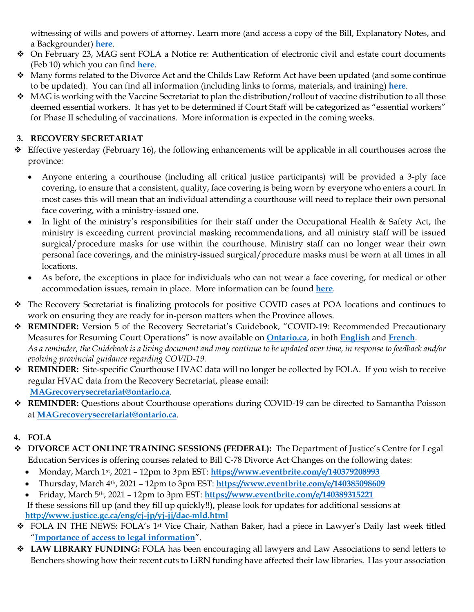witnessing of wills and powers of attorney. Learn more (and access a copy of the Bill, Explanatory Notes, and a Backgrounder) **[here](https://fola.ca/mag#defdce37-b752-4335-a93f-18f7aa8eebf6)**.

- On February 23, MAG sent FOLA a Notice re: Authentication of electronic civil and estate court documents (Feb 10) which you can find **[here](https://img1.wsimg.com/blobby/go/63f6349d-d85d-4511-bc5f-4314d54b45d0/downloads/CSD%20Notice%20re%20Authentication%20of%20electronic%20civ.pdf?ver=1614112881859)**.
- Many forms related to the Divorce Act and the Childs Law Reform Act have been updated (and some continue to be updated). You can find all information (including links to forms, materials, and training) **[here](https://fola.ca/family-law-reforms#7f917ecd-5bec-499c-9f2d-9c4466ac97a2)**.
- $\bullet$  MAG is working with the Vaccine Secretariat to plan the distribution/rollout of vaccine distribution to all those deemed essential workers. It has yet to be determined if Court Staff will be categorized as "essential workers" for Phase II scheduling of vaccinations. More information is expected in the coming weeks.

# **3. RECOVERY SECRETARIAT**

- $\div$  Effective yesterday (February 16), the following enhancements will be applicable in all courthouses across the province:
	- Anyone entering a courthouse (including all critical justice participants) will be provided a 3-ply face covering, to ensure that a consistent, quality, face covering is being worn by everyone who enters a court. In most cases this will mean that an individual attending a courthouse will need to replace their own personal face covering, with a ministry-issued one.
	- In light of the ministry's responsibilities for their staff under the Occupational Health & Safety Act, the ministry is exceeding current provincial masking recommendations, and all ministry staff will be issued surgical/procedure masks for use within the courthouse. Ministry staff can no longer wear their own personal face coverings, and the ministry-issued surgical/procedure masks must be worn at all times in all locations.
	- As before, the exceptions in place for individuals who can not wear a face covering, for medical or other accommodation issues, remain in place. More information can be found **[here](https://fola.ca/courts)**.
- The Recovery Secretariat is finalizing protocols for positive COVID cases at POA locations and continues to work on ensuring they are ready for in-person matters when the Province allows.
- **REMINDER:** Version 5 of the Recovery Secretariat's Guidebook, "COVID-19: Recommended Precautionary Measures for Resuming Court Operations" is now available on **[Ontario.ca](https://www.ontario.ca/page/covid-19-reopening-courtrooms)**, in both **[English](https://files.ontario.ca/mag-covid-19-recommended-precautionary-measures-en-2020-12-01.pdf)** and **[French](https://files.ontario.ca/mag-covid-19-recommended-precautionary-measures-fr-2020-12-01.pdf)**. *As a reminder, the Guidebook is a living document and may continue to be updated over time, in response to feedback and/or evolving provincial guidance regarding COVID-19.*
- **REMINDER:** Site-specific Courthouse HVAC data will no longer be collected by FOLA. If you wish to receive regular HVAC data from the Recovery Secretariat, please email: **[MAGrecoverysecretariat@ontario.ca](mailto:MAGrecoverysecretariat@ontario.ca)**.
- **REMINDER:** Questions about Courthouse operations during COVID-19 can be directed to Samantha Poisson at **[MAGrecoverysecretariat@ontario.ca](mailto:MAGrecoverysecretariat@ontario.ca)**.
- **4. FOLA**
- **DIVORCE ACT ONLINE TRAINING SESSIONS (FEDERAL):** The Department of Justice's Centre for Legal Education Services is offering courses related to Bill C-78 Divorce Act Changes on the following dates:
	- Monday, March 1st, 2021 12pm to 3pm EST: **<https://www.eventbrite.com/e/140379208993>**
	- Thursday, March 4th, 2021 12pm to 3pm EST: **<https://www.eventbrite.com/e/140385098609>**
	- Friday, March 5th, 2021 12pm to 3pm EST: **<https://www.eventbrite.com/e/140389315221>** If these sessions fill up (and they fill up quickly!!), please look for updates for additional sessions at **<http://www.justice.gc.ca/eng/cj-jp/yj-jj/dac-mld.html>**
- FOLA IN THE NEWS: FOLA's 1st Vice Chair, Nathan Baker, had a piece in Lawyer's Daily last week titled "**[Importance of access to legal information](https://www.thelawyersdaily.ca/articles/24652/importance-of-access-to-legal-information-nathan-baker)**".
- **LAW LIBRARY FUNDING:** FOLA has been encouraging all lawyers and Law Associations to send letters to Benchers showing how their recent cuts to LiRN funding have affected their law libraries. Has your association